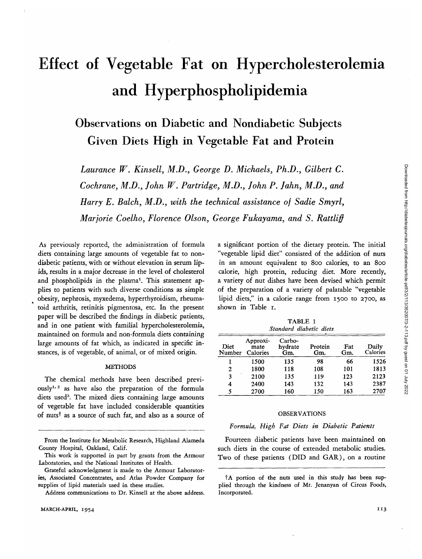# Effect of Vegetable Fat on Hypercholesterolemia and Hyperphospholipidemia

# Observations on Diabetic and Nondiabetic Subjects Given Diets High in Vegetable Fat and Protein

*Laurance W. Kinsell, M.D., George D. Michaels, Ph.D., Gilbert C. Cochrane, M.D., John W. Partridge, M.D., John P. John, M.D., and Harry E. Balch, M.D., with the technical assistance of Sadie Smyrl, Marjorie Coelho, Florence Olson, George Fukayama, and S. Rattliff*

As previously reported, the administration of formula diets containing large amounts of vegetable fat to nondiabetic patients, with or without elevation in serum lipids, results in a major decrease in the level of cholesterol and phospholipids in the plasma<sup>1</sup>. This statement applies to patients with such diverse conditions as simple obesity, nephrosis, myxedema, hyperthyroidism, rheumatoid arthritis, retinitis pigmentosa, etc. In the present paper will be described the findings in diabetic patients, and in one patient with familial hypercholesterolemia, maintained on formula and non-formula diets containing large amounts of fat which, as indicated in specific instances, is of vegetable, of animal, or of mixed origin.

# **METHODS**

The chemical methods have been described previously<sup>1, 2</sup> as have also the preparation of the formula diets used<sup>3</sup>. The mixed diets containing large amounts of vegetable fat have included considerable quantities of nuts<sup>†</sup> as a source of such fat, and also as a source of a significant portion of the dietary protein. The initial "vegetable lipid diet" consisted of the addition of nuts in an amount equivalent to 800 calories, to an 800 calorie, high protein, reducing diet. More recently, a variety of nut dishes have been devised which permit of the preparation of a variety of palatable "vegetable lipid diets," in a calorie range from 1500 to 2700, as shown in Table 1.

TABLE 1 *Standard diabetic diets*

| Diet<br>Number | Approxi-<br>mate<br>Calories | Carbo-<br>hydrate<br>Gm. | Protein<br>Gm. | Fat<br>Gm. | Daily<br>Calories |
|----------------|------------------------------|--------------------------|----------------|------------|-------------------|
|                | 1500                         | 135                      | 98             | 66         | 1526              |
| 2              | 1800                         | 118                      | 108            | 101        | 1813              |
| 3              | 2100                         | 135                      | 119            | 123        | 2123              |
| 4              | 2400                         | 143                      | 132            | 143        | 2387              |
| 5              | 2700                         | 160                      | 150            | 163        | 2707              |

#### OBSERVATIONS

## *Formula, High Fat Diets in Diabetic Patients*

Fourteen diabetic patients have been maintained on such diets in the course of extended metabolic studies. Two of these patients (DID and GAR), on a routine

From the Institute for Metabolic Research, Highland Alameda County Hospital, Oakland, Calif.

This work is supported in part by grants from the Armour Laboratories, and the National Institutes of Health.

Grateful acknowledgment is made to the Armour Laboratories, Associated Concentrates, and Atlas Powder Company for supplies of lipid materials used in these studies.

Address communications to Dr. Kinsell at the above address.

<sup>1</sup>A portion of the nuts used in this study has been supplied through the kindness of Mr. Jenanyan of Circus Foods, Incorporated.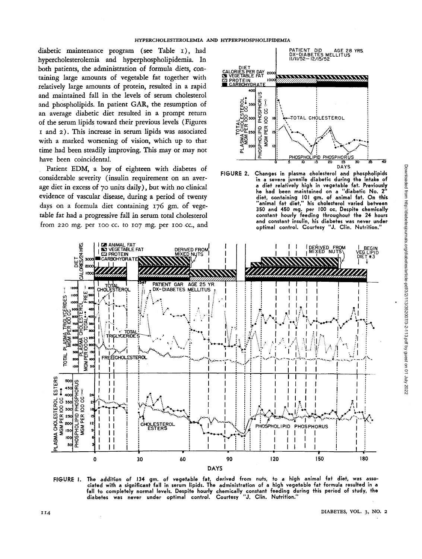diabetic maintenance program (see Table i), had hypercholesterolemia and hyperphospholipidemia. In both patients, the administration of formula diets, containing large amounts of vegetable fat together with relatively large amounts of protein, resulted in a rapid and maintained fall in the levels of serum cholesterol and phospholipids. In patient GAR, the resumption of an average diabetic diet resulted in a prompt return of the serum lipids toward their previous levels (Figures i and 2). This increase in serum lipids was associated with a marked worsening of vision, which up to that time had been steadily improving. This may or may not have been coincidental.

Patient EDM, a boy of eighteen with diabetes of considerable severity (insulin requirement on an average diet in excess of 70 units daily), but with no clinical evidence of vascular disease, during a period of twenty days on a formula diet containing 176 gm, of vegetable fat had a progressive fall in serum total cholesterol from 220 mg. per 100 cc. to 107 mg. per 100 cc, and



**FIGURE 2. Changes in plasma cholesterol and phospholipids in a severe juvenile diabetic during the intake of a diet relatively high in vegetable fat. Previously he had been maintained on a "diabetic No. 2" diet, containing 101 gm. of animal fat. On this "animal fat diet," his cholesterol varied between 350 and 450 mg. per 100 cc. Despite chemically constant hourly feeding throughout the 24 hours and constant insulin, his diabetes was never under optimal control. Courtesy "J. Clin. Nutrition."**



**FIGURE I. The addition of 134 gm. of vegetable fat, derived from nuts, to a high animal fat diet, was associated with a significant fall in serum lipids. The administration of a high vegetable fat formula resulted in a fall to completely normal levels. Despite hourly chemically constant feeding during this period of study, the diabetes was never under optimal control. Courtesy "J. Clin. Nutrition."**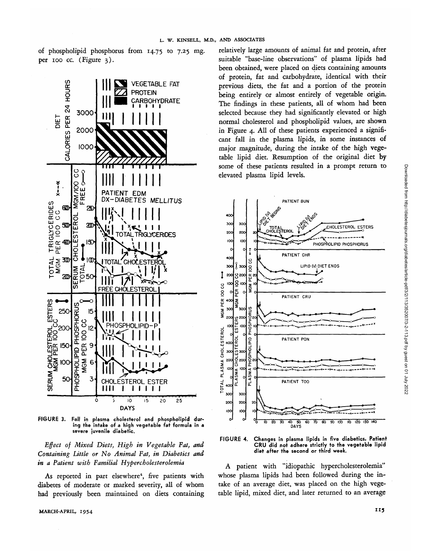of phospholipid phosphorus from 14.75 to 7.25 mg per 100 cc. (Figure 3).



**FIGURE 3. Fall in plasma cholesterol and phospholipid during the intake of a high vegetable fat formula in a severe juvenile diabetic.**

*Effect of Mixed Diets, High in Vegetable Fat, and Containing Little or No Animal Fat, in Diabetics and in a Patient with Familial Hypercholesterolemia*

As reported in part elsewhere<sup>4</sup>, five patients with diabetes of moderate or marked severity, all of whom had previously been maintained on diets containing relatively large amounts of animal fat and protein, after suitable "base-line observations" of plasma lipids had been obtained, were placed on diets containing amounts of protein, fat and carbohydrate, identical with their previous diets, the fat and a portion of the protein being entirely or almost entirely of vegetable origin. The findings in these patients, all of whom had been selected because they had significantly elevated or high normal cholesterol and phospholipid values, are shown in Figure 4. All of these patients experienced a significant fall in the plasma lipids, in some instances of major magnitude, during the intake of the high vegetable lipid diet. Resumption of the original diet by some of these patients resulted in a prompt return to elevated plasma lipid levels.



**FIGURE 4. Changes in plasma lipids in five diabetics. Patient CRU did not adhere strictly to the vegetable lipid diet after the second or third week.**

A patient with "idiopathic hypercholesterolemia" whose plasma lipids had been followed during the intake of an average diet, was placed on the high vegetable lipid, mixed diet, and later returned to an average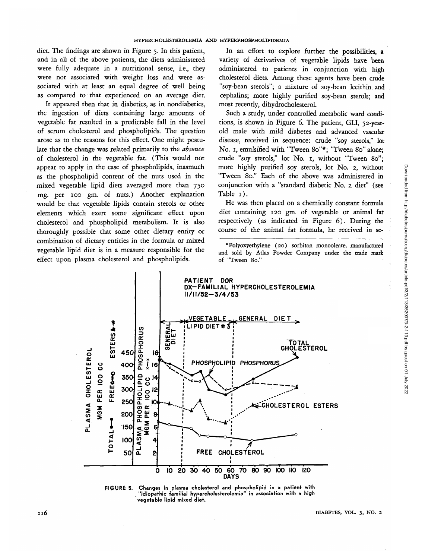diet. The findings are shown in Figure 5. In this patient, and in all of the above patients, the diets administered were fully adequate in a nutritional sense, i.e., they were not associated with weight loss and were associated with at least an equal degree of well being as compared to that experienced on an average diet.

It appeared then that in diabetics, as in nondiabetics, the ingestion of diets containing large amounts of vegetable fat resulted in a predictable fall in the level of serum cholesterol and phospholipids. The question arose as to the reasons for this effect. One might postulate that the change was related primarily to the *absence* of cholesterol in the vegetable fat. (This would not appear to apply in the case of phospholipids, inasmuch as the phospholipid content of the nuts used in the mixed vegetable lipid diets averaged more than 750 mg. per 100 gm. of nuts.) Another explanation would be that vegetable lipids contain sterols or other elements which exert some significant effect upon cholesterol and phospholipid metabolism. It is also thoroughly possible that some other dietary entity or combination of dietary entities in the formula or mixed vegetable lipid diet is in a measure responsible for the effect upon plasma cholesterol and phospholipids.

In an effort to explore further the possibilities, a variety of derivatives of vegetable lipids have been administered to patients in conjunction with high cholesterol diets. Among these agents have been crude "soy-bean sterols"; a mixture of soy-bean lecithin and cephalins; more highly purified soy-bean sterols; and most recently, dihydrocholesterol.

Such a study, under controlled metabolic ward conditions, is shown in Figure 6. The patient, GLI, 52-yearold male with mild diabetes and advanced vascular disease, received in sequence: crude "soy sterols," lot No. 1, emulsified with "Tween 80"\*; "Tween 80" alone; crude "soy sterols," lot No. 1, without "Tween 80"; more highly purified soy sterols, lot No. 2, without "Tween 80." Each of the above was administered in conjunction with a "standard diabetic No. 2 diet" (see Table 1).

He was then placed on a chemically constant formula diet containing 120 gm. of vegetable or animal fat respectively (as indicated in Figure 6). During the course of the animal fat formula, he received in se-

<sup>\*</sup>Polyoxyethylene (20) sorbitan monooleate, manufactured and sold by Atlas Powder Company under the trade mark of "Tween 80."





Downloaded from http://diabetesjournals.org/diabetes/article-pdf/3/2/113/352007/3-2-113.pdf by guest on 01 July 2022 Downloaded from http://diabetesjournals.org/diabetes/article-pdf/3/2/113/352007/3-2-113.pdf by guest on 01 July 2022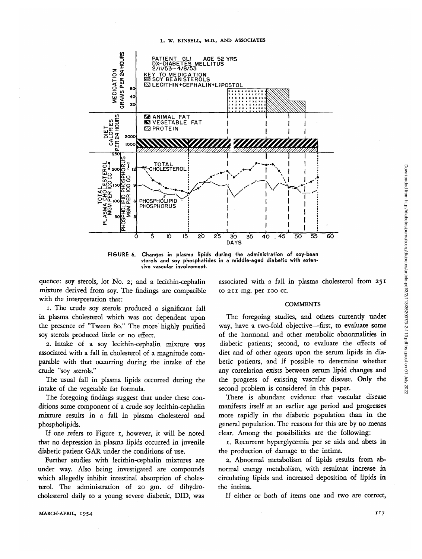

FIGURE 6. Changes in plasma lipids during the administration of soy-bean sterols and soy phosphatides in a middle-aged diabetic with extensive vascular involvement.

quence: soy sterols, lot No. 2; and a lecithin-cephalin mixture derived from soy. The findings are compatible with the interpretation that:

1. The crude soy sterols produced a significant fall in plasma cholesterol which was not dependent upon the presence of "Tween 80." The more highly purified soy sterols produced little or no effect.

2. Intake of a soy lecithin-cephalin mixture was associated with a fall in cholesterol of a magnitude comparable with that occurring during the intake of the crude "soy sterols."

The usual fall in plasma lipids occurred during the intake of the vegetable fat formula.

The foregoing findings suggest that under these conditions some component of a crude soy lecithin-cephalin mixture results in a fall in plasma cholesterol and phospholipids.

If one refers to Figure 1, however, *it* will be noted that no depression in plasma lipids occurred in juvenile diabetic patient GAR under the conditions of use.

Further studies with lecithin-cephalin mixtures are under way. Also being investigated are compounds which allegedly inhibit intestinal absorption of cholesterol. The administration of 20 gm. of dihydrocholesterol daily to a young severe diabetic, DID, was

associated with a fall in plasma cholesterol from 251 to 211 mg. per 100 *cc.*

# **COMMENTS**

The foregoing studies, and others currently under way, have a two-fold objective—first, to evaluate some of the hormonal and other metabolic abnormalities in diabetic patients; second, *to* evaluate the effects of diet and of other agents upon the serum lipids in diabetic patients, and if possible to determine whether any correlation exists between serum lipid changes and the progress of existing vascular disease. Only the second problem is considered in this paper.

There is abundant evidence that vascular disease manifests itself at an earlier age period and progresses more rapidly in the diabetic population than in the general population. The reasons for this are by no means clear. Among the possibilities are the following:

1. Recurrent hyperglycemia per se aids and abets in the production of damage to the intima.

2. Abnormal metabolism of lipids results from abnormal energy metabolism, with resultant increase in circulating lipids and increased deposition of lipids in the intima.

If either or both of items one and two are correct,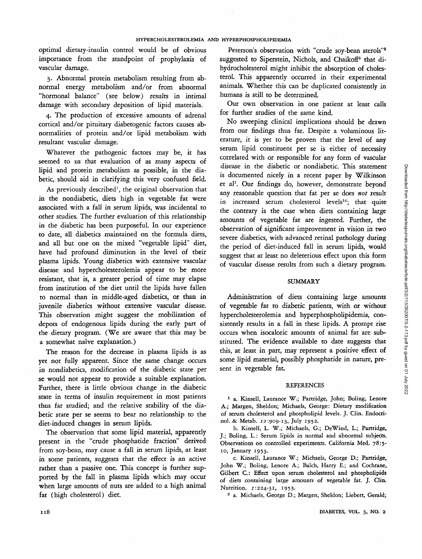optimal dietary-insulin control would be of obvious importance from the standpoint of prophylaxis of vascular damage.

3. Abnormal protein metabolism resulting from abnormal energy metabolism and/or from abnormal "hormonal balance" (see below) results in intimal damage with secondary deposition of lipid materials.

4. The production of excessive amounts of adrenal cortical and/or pituitary diabetogenic factors causes abnormalities of protein and/or lipid metabolism with resultant vascular damage.

Whatever the pathogenic factors may be, it has seemed to us that evaluation of as many aspects of lipid and protein metabolism as possible, in the diabetic, should aid in clarifying this very confused field.

As previously described<sup>1</sup>, the original observation that in the nondiabetic, diets high in vegetable fat were associated with a fall in serum lipids, was incidental to other studies. The further evaluation of this relationship in the diabetic has been purposeful. In our experience to date, all diabetics maintained on the formula diets, and all but one on the mixed "vegetable lipid" diet, have had profound diminution in the level of their plasma lipids. Young diabetics with extensive vascular disease and hypercholesterolemia appear to be more resistant, that is, a greater period of time may elapse from institution of the diet until the lipids have fallen to normal than in middle-aged diabetics, or than in juvenile diabetics without extensive vascular disease. This observation might suggest the mobilization of depots of endogenous lipids during the early part of the dietary program. (We are aware that this may be a somewhat naive explanation.)

The reason for the decrease in plasma lipids is as yet not fully apparent. Since the same change occurs in nondiabetics, modification of the diabetic state per se would not appear to provide a suitable explanation. Further, there is little obvious change in the diabetic state in terms of insulin requirement in most patients thus far studied; and the relative stability of the diabetic state per se seems to bear no relationship to the diet-induced changes in serum lipids.

The observation that some lipid material, apparently present in the "crude phosphatide fraction" derived from soy-bean, may cause a fall in serum lipids, at least in some patients, suggests that the effect is an active rather than a passive one. This concept is further supported by the fall in plasma lipids which may occur when large amounts of nuts are added to a high animal fat (high cholesterol) diet.

Peterson's observation with "crude soy-bean sterols"5 suggested to Siperstein, Nichols, and Chaikoff<sup>6</sup> that dihydrocholesterol might inhibit the absorption of cholesterol. This apparently occurred in their experimental animals. Whether this can be duplicated consistently in humans is still to be determined.

Our own observation in one patient at least calls for further studies of the same kind.

No sweeping clinical implications should be drawn from our findings thus far. Despite a voluminous literature, it is yet to be proven that the level of any serum lipid constituent per se is either of necessity correlated with or responsible for any form of vascular disease in the diabetic or nondiabetic. This statement is documented nicely in a recent paper by Wilkinson et al7 . Our findings do, however, demonstrate beyond any reasonable question that fat per se does *not* result in increased serum cholesterol levels<sup>1c</sup>; that quite the contrary is the case when diets containing large amounts of vegetable fat are ingested. Further, the observation of significant improvement in vision in two severe diabetics, with advanced retinal pathology during the period of diet-induced fall in serum lipids, would suggest that at least no deleterious effect upon this form of vascular disease results from such a dietary program.

#### SUMMARY

Administration of diets containing large amounts of vegetable fat to diabetic patients, with or without hypercholesterolemia and hyperphospholipidemia, consistently results in a fall in these lipids. A prompt rise occurs when isocaloric amounts of animal fat are substituted. The evidence available to date suggests that this, at least in part, may represent a positive effect of some lipid material, possibly phosphatide in nature, present in vegetable fat.

### REFERENCES

1 a. Kinsell, Laurance W.; Partridge, John; Boling, Lenore A.; Margen, Sheldon; Michaels, George: Dietary modification of serum cholesterol and phospholipid levels. J. Clin. Endocrinol. & Metab. 12:909-13, July 1952.

b. Kinsell, L. W.; Michaels, G.; DeWind, L.; Partridge, J.; Boling, L.: Serum lipids in normal and abnormal subjects. Observations on controlled experiments. California Med. 78:5- 10, January 1953.

c. Kinsell, Laurance W.; Michaels, George D.; Partridge, John W.; Boling, Lenore A.; Balch, Harry E.; and Cochrane, Gilbert C: Effect upon serum cholesterol and phospholipids of diets containing large amounts of vegetable fat. J. Clin. Nutrition. 1:224-31, 1953.

a. Michaels, George D.; Margen, Sheldon; Liebert, Gerald;